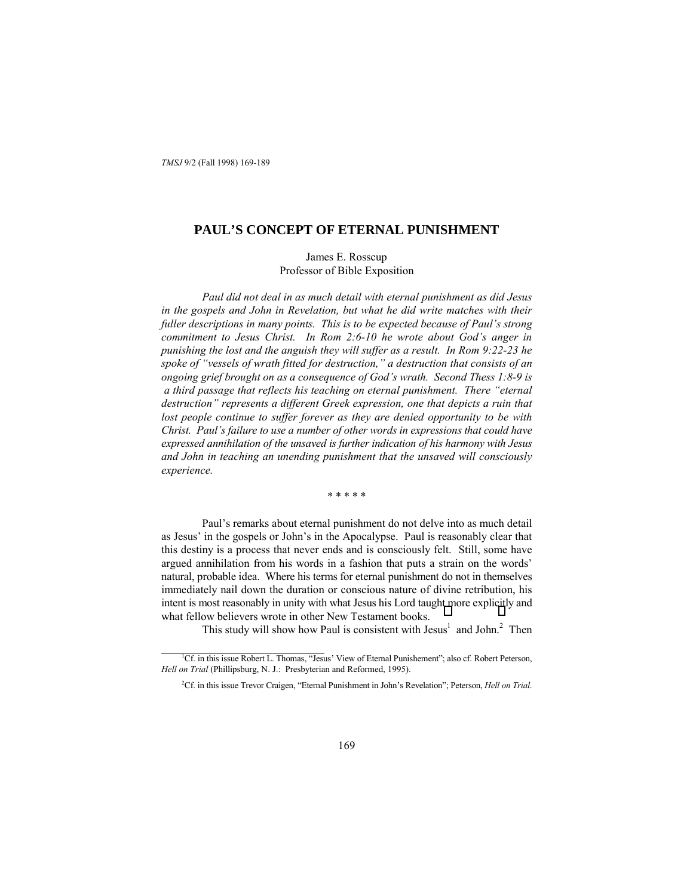# **PAUL'S CONCEPT OF ETERNAL PUNISHMENT**

James E. Rosscup Professor of Bible Exposition

*Paul did not deal in as much detail with eternal punishment as did Jesus in the gospels and John in Revelation, but what he did write matches with their fuller descriptions in many points. This is to be expected because of Paulís strong commitment to Jesus Christ. In Rom 2:6-10 he wrote about Godís anger in punishing the lost and the anguish they will suffer as a result. In Rom 9:22-23 he* spoke of "vessels of wrath fitted for destruction," a destruction that consists of an *ongoing grief brought on as a consequence of Godís wrath. Second Thess 1:8-9 is a third passage that reflects his teaching on eternal punishment. There "eternal destructionî represents a different Greek expression, one that depicts a ruin that lost people continue to suffer forever as they are denied opportunity to be with Christ. Paulís failure to use a number of other words in expressions that could have expressed annihilation of the unsaved is further indication of his harmony with Jesus and John in teaching an unending punishment that the unsaved will consciously experience.*

\* \* \* \* \*

Paul's remarks about eternal punishment do not delve into as much detail as Jesus' in the gospels or John's in the Apocalypse. Paul is reasonably clear that this destiny is a process that never ends and is consciously felt. Still, some have argued annihilation from his words in a fashion that puts a strain on the words' natural, probable idea. Where his terms for eternal punishment do not in themselves immediately nail down the duration or conscious nature of divine retribution, his intent is most reasonably in unity with what Jesus his Lord taught more explicitly and what fellow believers wrote in other New Testament books.

This study will show how Paul is consistent with  $Jesus<sup>1</sup>$  and John.<sup>2</sup> Then

 $\overline{1}$ <sup>1</sup>Cf. in this issue Robert L. Thomas, "Jesus' View of Eternal Punishement"; also cf. Robert Peterson, *Hell on Trial* (Phillipsburg, N. J.: Presbyterian and Reformed, 1995).

<sup>&</sup>lt;sup>2</sup>Cf. in this issue Trevor Craigen, "Eternal Punishment in John's Revelation"; Peterson, *Hell on Trial*.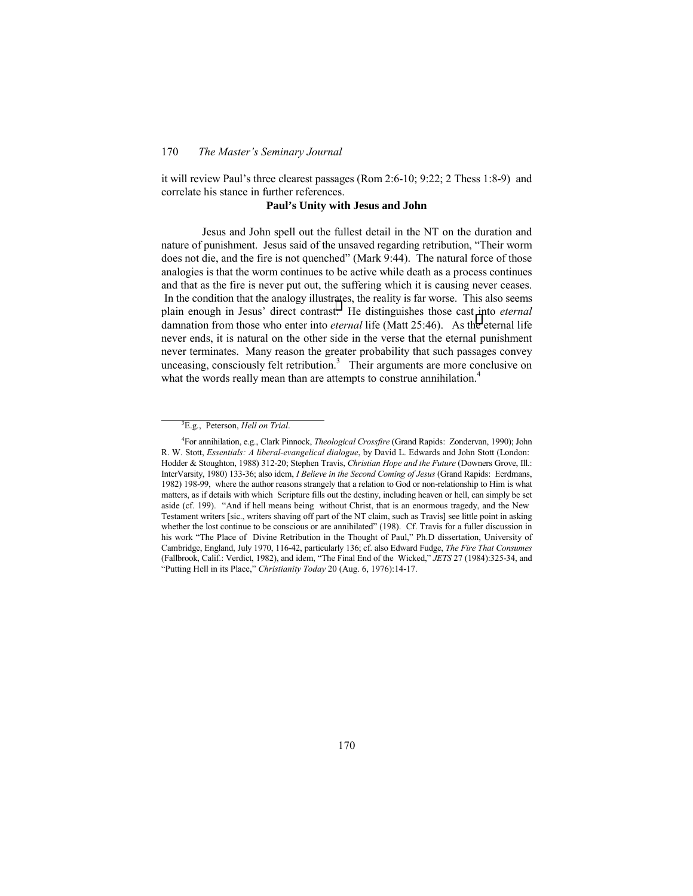it will review Paul's three clearest passages (Rom 2:6-10;  $9:22$ ; 2 Thess 1:8-9) and correlate his stance in further references.

#### **Paul's Unity with Jesus and John**

Jesus and John spell out the fullest detail in the NT on the duration and nature of punishment. Jesus said of the unsaved regarding retribution, "Their worm does not die, and the fire is not quenched" (Mark 9:44). The natural force of those analogies is that the worm continues to be active while death as a process continues and that as the fire is never put out, the suffering which it is causing never ceases. In the condition that the analogy illustrates, the reality is far worse. This also seems plain enough in Jesus' direct contrast: He distinguishes those cast into *eternal* damnation from those who enter into *eternal* life (Matt 25:46). As the eternal life never ends, it is natural on the other side in the verse that the eternal punishment never terminates. Many reason the greater probability that such passages convey unceasing, consciously felt retribution.<sup>3</sup> Their arguments are more conclusive on what the words really mean than are attempts to construe annihilation.<sup>4</sup>

 $\frac{1}{3}$ E.g., Peterson, *Hell on Trial*.

<sup>4</sup> For annihilation, e.g., Clark Pinnock, *Theological Crossfire* (Grand Rapids: Zondervan, 1990); John R. W. Stott, *Essentials: A liberal-evangelical dialogue*, by David L. Edwards and John Stott (London: Hodder & Stoughton, 1988) 312-20; Stephen Travis, *Christian Hope and the Future* (Downers Grove, Ill.: InterVarsity, 1980) 133-36; also idem, *I Believe in the Second Coming of Jesus* (Grand Rapids: Eerdmans, 1982) 198-99, where the author reasons strangely that a relation to God or non-relationship to Him is what matters, as if details with which Scripture fills out the destiny, including heaven or hell, can simply be set aside (cf. 199). "And if hell means being without Christ, that is an enormous tragedy, and the New Testament writers [sic., writers shaving off part of the NT claim, such as Travis] see little point in asking whether the lost continue to be conscious or are annihilated" (198). Cf. Travis for a fuller discussion in his work "The Place of Divine Retribution in the Thought of Paul," Ph.D dissertation, University of Cambridge, England, July 1970, 116-42, particularly 136; cf. also Edward Fudge, *The Fire That Consumes* (Fallbrook, Calif.: Verdict, 1982), and idem, "The Final End of the Wicked," *JETS* 27 (1984):325-34, and ìPutting Hell in its Place,î *Christianity Today* 20 (Aug. 6, 1976):14-17.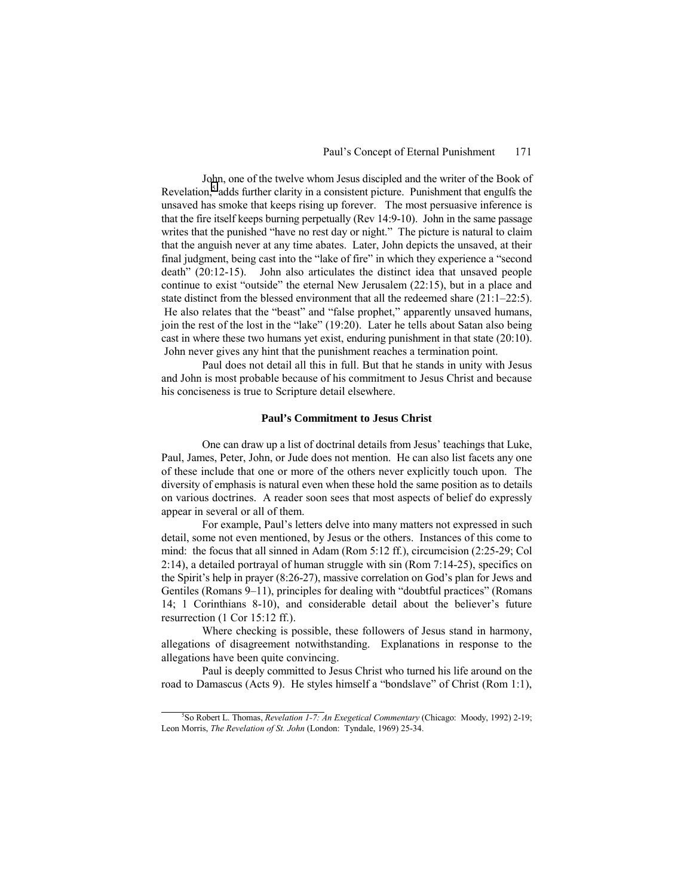John, one of the twelve whom Jesus discipled and the writer of the Book of Revelation,<sup>5</sup> adds further clarity in a consistent picture. Punishment that engulfs the unsaved has smoke that keeps rising up forever. The most persuasive inference is that the fire itself keeps burning perpetually (Rev 14:9-10). John in the same passage writes that the punished "have no rest day or night." The picture is natural to claim that the anguish never at any time abates. Later, John depicts the unsaved, at their final judgment, being cast into the "lake of fire" in which they experience a "second" death<sup>"</sup> (20:12-15). John also articulates the distinct idea that unsaved people continue to exist "outside" the eternal New Jerusalem  $(22:15)$ , but in a place and state distinct from the blessed environment that all the redeemed share  $(21:1–22:5)$ . He also relates that the "beast" and "false prophet," apparently unsaved humans, join the rest of the lost in the "lake"  $(19:20)$ . Later he tells about Satan also being cast in where these two humans yet exist, enduring punishment in that state (20:10). John never gives any hint that the punishment reaches a termination point.

Paul does not detail all this in full. But that he stands in unity with Jesus and John is most probable because of his commitment to Jesus Christ and because his conciseness is true to Scripture detail elsewhere.

### **Paul's Commitment to Jesus Christ**

One can draw up a list of doctrinal details from Jesus' teachings that Luke, Paul, James, Peter, John, or Jude does not mention. He can also list facets any one of these include that one or more of the others never explicitly touch upon. The diversity of emphasis is natural even when these hold the same position as to details on various doctrines. A reader soon sees that most aspects of belief do expressly appear in several or all of them.

For example, Paul's letters delve into many matters not expressed in such detail, some not even mentioned, by Jesus or the others. Instances of this come to mind: the focus that all sinned in Adam (Rom 5:12 ff.), circumcision (2:25-29; Col 2:14), a detailed portrayal of human struggle with sin (Rom 7:14-25), specifics on the Spirit's help in prayer (8:26-27), massive correlation on God's plan for Jews and Gentiles (Romans  $9-11$ ), principles for dealing with "doubtful practices" (Romans 14; 1 Corinthians 8-10), and considerable detail about the believer's future resurrection (1 Cor 15:12 ff.).

Where checking is possible, these followers of Jesus stand in harmony, allegations of disagreement notwithstanding. Explanations in response to the allegations have been quite convincing.

Paul is deeply committed to Jesus Christ who turned his life around on the road to Damascus (Acts 9). He styles himself a "bondslave" of Christ (Rom 1:1),

 $rac{1}{5}$ So Robert L. Thomas, *Revelation 1-7: An Exegetical Commentary* (Chicago: Moody, 1992) 2-19; Leon Morris, *The Revelation of St. John* (London: Tyndale, 1969) 25-34.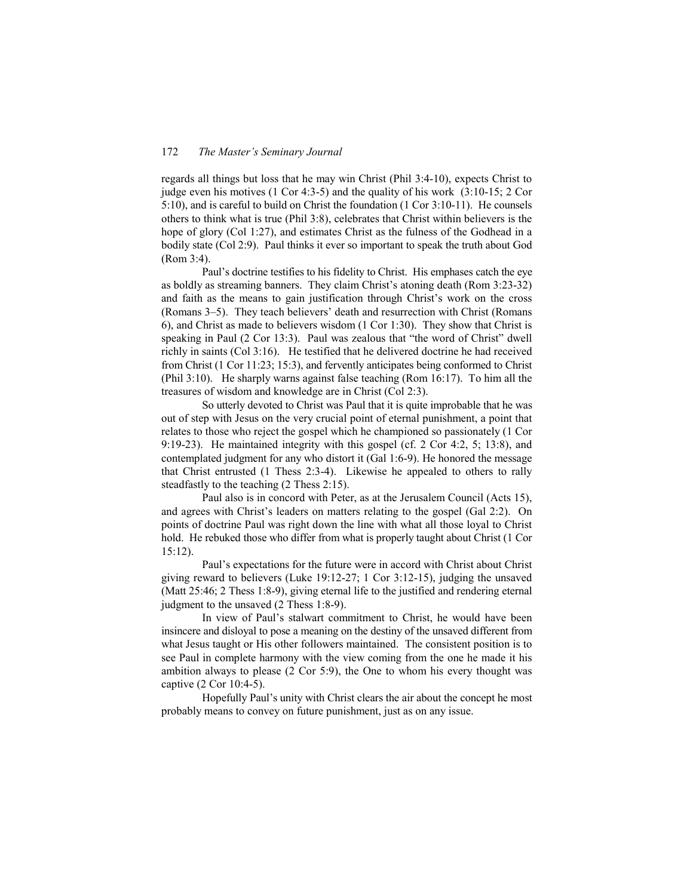regards all things but loss that he may win Christ (Phil 3:4-10), expects Christ to judge even his motives (1 Cor 4:3-5) and the quality of his work (3:10-15; 2 Cor 5:10), and is careful to build on Christ the foundation (1 Cor 3:10-11). He counsels others to think what is true (Phil 3:8), celebrates that Christ within believers is the hope of glory (Col 1:27), and estimates Christ as the fulness of the Godhead in a bodily state (Col 2:9). Paul thinks it ever so important to speak the truth about God (Rom 3:4).

Paul's doctrine testifies to his fidelity to Christ. His emphases catch the eye as boldly as streaming banners. They claim Christ's atoning death  $(Rom 3:23-32)$ and faith as the means to gain justification through Christ's work on the cross (Romans 3–5). They teach believers' death and resurrection with Christ (Romans 6), and Christ as made to believers wisdom (1 Cor 1:30). They show that Christ is speaking in Paul  $(2 \text{ Cor } 13:3)$ . Paul was zealous that "the word of Christ" dwell richly in saints (Col 3:16). He testified that he delivered doctrine he had received from Christ (1 Cor 11:23; 15:3), and fervently anticipates being conformed to Christ (Phil 3:10). He sharply warns against false teaching (Rom 16:17). To him all the treasures of wisdom and knowledge are in Christ (Col 2:3).

So utterly devoted to Christ was Paul that it is quite improbable that he was out of step with Jesus on the very crucial point of eternal punishment, a point that relates to those who reject the gospel which he championed so passionately (1 Cor 9:19-23). He maintained integrity with this gospel (cf. 2 Cor 4:2, 5; 13:8), and contemplated judgment for any who distort it (Gal 1:6-9). He honored the message that Christ entrusted (1 Thess 2:3-4). Likewise he appealed to others to rally steadfastly to the teaching (2 Thess 2:15).

Paul also is in concord with Peter, as at the Jerusalem Council (Acts 15), and agrees with Christ's leaders on matters relating to the gospel (Gal  $2:2$ ). On points of doctrine Paul was right down the line with what all those loyal to Christ hold. He rebuked those who differ from what is properly taught about Christ (1 Cor 15:12).

Paul's expectations for the future were in accord with Christ about Christ giving reward to believers (Luke 19:12-27; 1 Cor 3:12-15), judging the unsaved (Matt 25:46; 2 Thess 1:8-9), giving eternal life to the justified and rendering eternal judgment to the unsaved (2 Thess 1:8-9).

In view of Paul's stalwart commitment to Christ, he would have been insincere and disloyal to pose a meaning on the destiny of the unsaved different from what Jesus taught or His other followers maintained. The consistent position is to see Paul in complete harmony with the view coming from the one he made it his ambition always to please (2 Cor 5:9), the One to whom his every thought was captive (2 Cor 10:4-5).

Hopefully Paul's unity with Christ clears the air about the concept he most probably means to convey on future punishment, just as on any issue.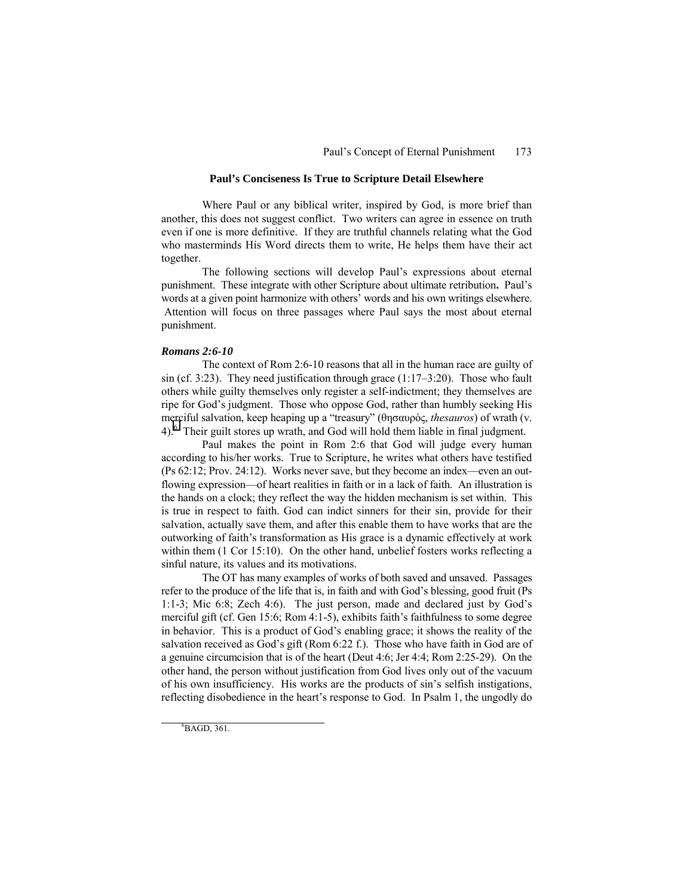### **Paul's Conciseness Is True to Scripture Detail Elsewhere**

Where Paul or any biblical writer, inspired by God, is more brief than another, this does not suggest conflict. Two writers can agree in essence on truth even if one is more definitive. If they are truthful channels relating what the God who masterminds His Word directs them to write, He helps them have their act together.

The following sections will develop Paul's expressions about eternal punishment. These integrate with other Scripture about ultimate retribution. Paul's words at a given point harmonize with others' words and his own writings elsewhere. Attention will focus on three passages where Paul says the most about eternal punishment.

#### *Romans 2:6-10*

The context of Rom 2:6-10 reasons that all in the human race are guilty of sin (cf. 3:23). They need justification through grace  $(1:17–3:20)$ . Those who fault others while guilty themselves only register a self-indictment; they themselves are ripe for God's judgment. Those who oppose God, rather than humbly seeking His merciful salvation, keep heaping up a "treasury" (θησαυρός, *thesauros*) of wrath (v. 4).<sup>6</sup> Their guilt stores up wrath, and God will hold them liable in final judgment.

Paul makes the point in Rom 2:6 that God will judge every human according to his/her works. True to Scripture, he writes what others have testified  $(Ps 62:12; Prov. 24:12)$ . Works never save, but they become an index—even an outflowing expression—of heart realities in faith or in a lack of faith. An illustration is the hands on a clock; they reflect the way the hidden mechanism is set within. This is true in respect to faith. God can indict sinners for their sin, provide for their salvation, actually save them, and after this enable them to have works that are the outworking of faith's transformation as His grace is a dynamic effectively at work within them (1 Cor 15:10). On the other hand, unbelief fosters works reflecting a sinful nature, its values and its motivations.

The OT has many examples of works of both saved and unsaved. Passages refer to the produce of the life that is, in faith and with God's blessing, good fruit (Ps 1:1-3; Mic 6:8; Zech 4:6). The just person, made and declared just by God's merciful gift (cf. Gen  $15.6$ ; Rom  $4:1-5$ ), exhibits faith s faithfulness to some degree in behavior. This is a product of God's enabling grace; it shows the reality of the salvation received as God's gift (Rom  $6:22 \text{ f.}$ ). Those who have faith in God are of a genuine circumcision that is of the heart (Deut 4:6; Jer 4:4; Rom 2:25-29). On the other hand, the person without justification from God lives only out of the vacuum of his own insufficiency. His works are the products of sin's selfish instigations, reflecting disobedience in the heart's response to God. In Psalm 1, the ungodly do

 $\frac{1}{6}$  ${}^6BAGD, 361.$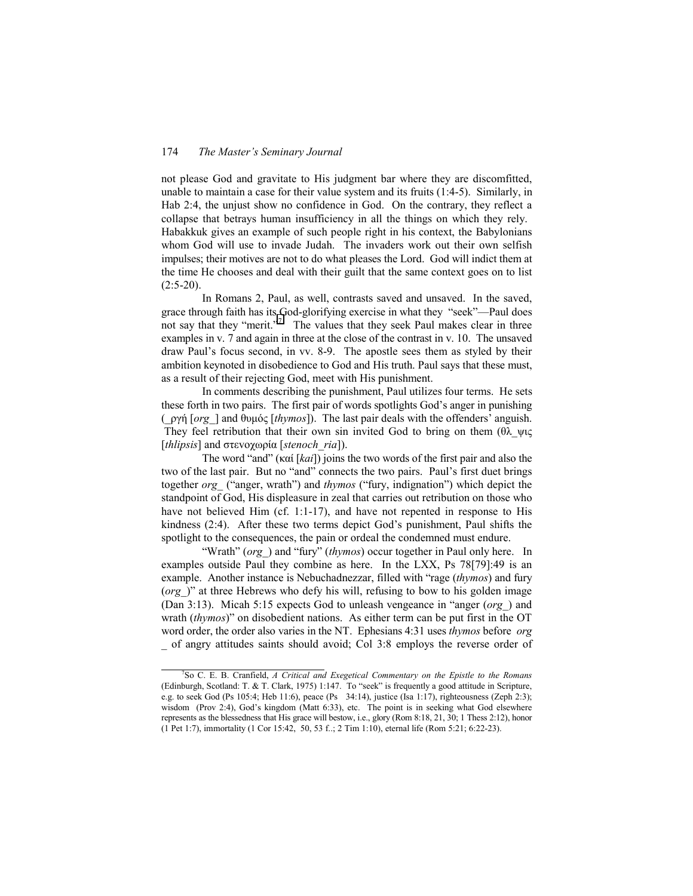not please God and gravitate to His judgment bar where they are discomfitted, unable to maintain a case for their value system and its fruits (1:4-5). Similarly, in Hab 2:4, the unjust show no confidence in God. On the contrary, they reflect a collapse that betrays human insufficiency in all the things on which they rely. Habakkuk gives an example of such people right in his context, the Babylonians whom God will use to invade Judah. The invaders work out their own selfish impulses; their motives are not to do what pleases the Lord. God will indict them at the time He chooses and deal with their guilt that the same context goes on to list  $(2:5-20)$ .

In Romans 2, Paul, as well, contrasts saved and unsaved. In the saved, grace through faith has its God-glorifying exercise in what they "seek"—Paul does not say that they "merit."<sup>7</sup> The values that they seek Paul makes clear in three examples in v. 7 and again in three at the close of the contrast in v. 10. The unsaved draw Paulís focus second, in vv. 8-9. The apostle sees them as styled by their ambition keynoted in disobedience to God and His truth. Paul says that these must, as a result of their rejecting God, meet with His punishment.

In comments describing the punishment, Paul utilizes four terms. He sets these forth in two pairs. The first pair of words spotlights God's anger in punishing (\_ργή [*org\_*] and θυµός [*thymos*]). The last pair deals with the offendersí anguish. They feel retribution that their own sin invited God to bring on them (θλ ψις [*thlipsis*] and στεvoχωρία [*stenoch\_ria*]).

The word "and" (καί [kai]) joins the two words of the first pair and also the two of the last pair. But no "and" connects the two pairs. Paul's first duet brings together *org* ("anger, wrath") and *thymos* ("fury, indignation") which depict the standpoint of God, His displeasure in zeal that carries out retribution on those who have not believed Him (cf. 1:1-17), and have not repented in response to His kindness (2:4). After these two terms depict God's punishment, Paul shifts the spotlight to the consequences, the pain or ordeal the condemned must endure.

"Wrath" (*org*) and "fury" (*thymos*) occur together in Paul only here. In examples outside Paul they combine as here. In the LXX, Ps 78[79]:49 is an example. Another instance is Nebuchadnezzar, filled with "rage (*thymos*) and fury (*org*)" at three Hebrews who defy his will, refusing to bow to his golden image (Dan 3:13). Micah 5:15 expects God to unleash vengeance in "anger ( $org$ ) and wrath *(thymos)*" on disobedient nations. As either term can be put first in the OT word order, the order also varies in the NT. Ephesians 4:31 uses *thymos* before *org \_* of angry attitudes saints should avoid; Col 3:8 employs the reverse order of

 $\frac{1}{7}$ So C. E. B. Cranfield, *A Critical and Exegetical Commentary on the Epistle to the Romans* (Edinburgh, Scotland: T. & T. Clark, 1975) 1:147. To "seek" is frequently a good attitude in Scripture, e.g. to seek God (Ps 105:4; Heb 11:6), peace (Ps 34:14), justice (Isa 1:17), righteousness (Zeph 2:3); wisdom (Prov 2:4), God's kingdom (Matt 6:33), etc. The point is in seeking what God elsewhere represents as the blessedness that His grace will bestow, i.e., glory (Rom 8:18, 21, 30; 1 Thess 2:12), honor (1 Pet 1:7), immortality (1 Cor 15:42, 50, 53 f..; 2 Tim 1:10), eternal life (Rom 5:21; 6:22-23).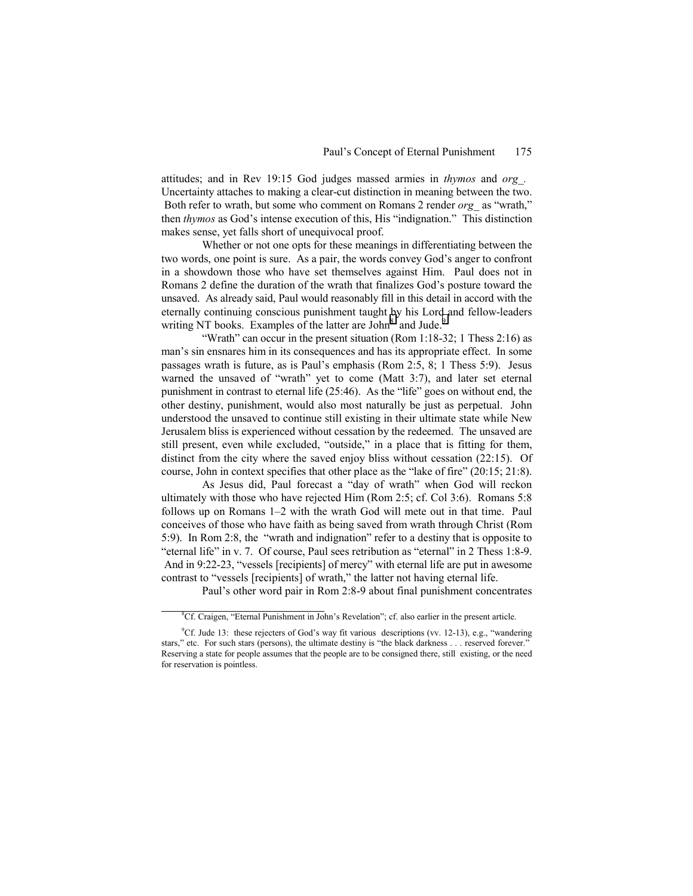attitudes; and in Rev 19:15 God judges massed armies in *thymos* and *org\_.*  Uncertainty attaches to making a clear-cut distinction in meaning between the two. Both refer to wrath, but some who comment on Romans 2 render *org* as "wrath," then *thymos* as God's intense execution of this, His "indignation." This distinction makes sense, yet falls short of unequivocal proof.

Whether or not one opts for these meanings in differentiating between the two words, one point is sure. As a pair, the words convey God's anger to confront in a showdown those who have set themselves against Him. Paul does not in Romans 2 define the duration of the wrath that finalizes God's posture toward the unsaved. As already said, Paul would reasonably fill in this detail in accord with the eternally continuing conscious punishment taught by his Lord and fellow-leaders writing NT books. Examples of the latter are John<sup>8</sup> and Jude.<sup>9</sup>

"Wrath" can occur in the present situation (Rom  $1:18-32$ ; 1 Thess  $2:16$ ) as manís sin ensnares him in its consequences and has its appropriate effect. In some passages wrath is future, as is Paul's emphasis (Rom  $2:5, 8$ ; 1 Thess  $5:9$ ). Jesus warned the unsaved of "wrath" yet to come (Matt  $3:7$ ), and later set eternal punishment in contrast to eternal life  $(25:46)$ . As the "life" goes on without end, the other destiny, punishment, would also most naturally be just as perpetual. John understood the unsaved to continue still existing in their ultimate state while New Jerusalem bliss is experienced without cessation by the redeemed. The unsaved are still present, even while excluded, "outside," in a place that is fitting for them, distinct from the city where the saved enjoy bliss without cessation (22:15). Of course, John in context specifies that other place as the "lake of fire"  $(20:15; 21:8)$ .

As Jesus did, Paul forecast a "day of wrath" when God will reckon ultimately with those who have rejected Him (Rom 2:5; cf. Col 3:6). Romans 5:8 follows up on Romans  $1-2$  with the wrath God will mete out in that time. Paul conceives of those who have faith as being saved from wrath through Christ (Rom 5:9). In Rom 2:8, the "wrath and indignation" refer to a destiny that is opposite to "eternal life" in v. 7. Of course, Paul sees retribution as "eternal" in 2 Thess 1:8-9. And in 9:22-23, "vessels [recipients] of mercy" with eternal life are put in awesome contrast to "vessels [recipients] of wrath," the latter not having eternal life.

Paul's other word pair in Rom 2:8-9 about final punishment concentrates

 $\frac{1}{8}$  ${}^8$ Cf. Craigen, "Eternal Punishment in John's Revelation"; cf. also earlier in the present article.

<sup>&</sup>lt;sup>9</sup>Cf. Jude 13: these rejecters of God's way fit various descriptions (vv. 12-13), e.g., "wandering stars," etc. For such stars (persons), the ultimate destiny is "the black darkness . . . reserved forever." Reserving a state for people assumes that the people are to be consigned there, still existing, or the need for reservation is pointless.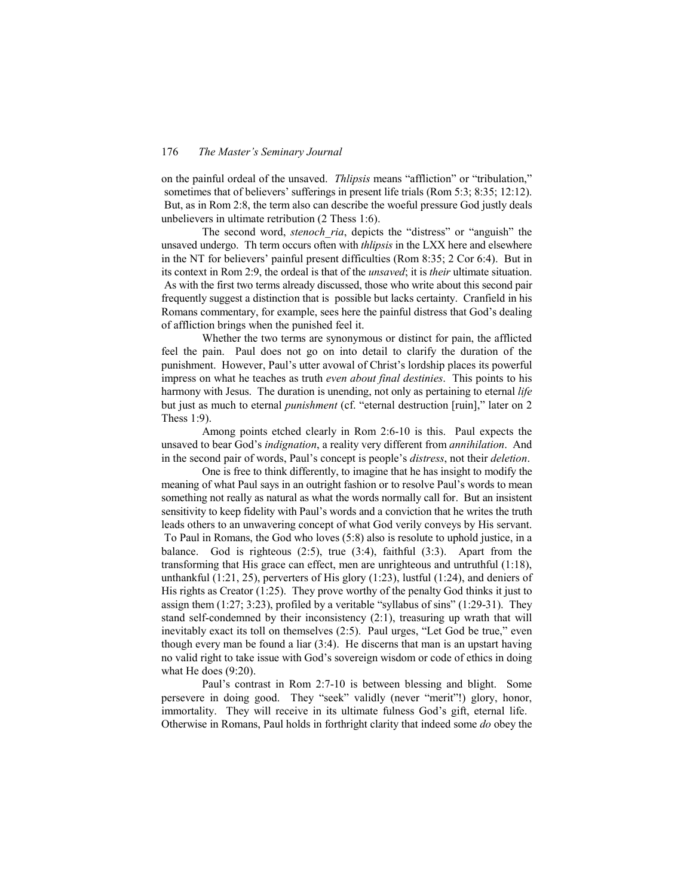on the painful ordeal of the unsaved. *Thlipsis* means "affliction" or "tribulation," sometimes that of believers' sufferings in present life trials (Rom 5:3; 8:35; 12:12). But, as in Rom 2:8, the term also can describe the woeful pressure God justly deals unbelievers in ultimate retribution (2 Thess 1:6).

The second word, *stenoch ria*, depicts the "distress" or "anguish" the unsaved undergo. Th term occurs often with *thlipsis* in the LXX here and elsewhere in the NT for believers' painful present difficulties (Rom  $8:35$ ; 2 Cor 6:4). But in its context in Rom 2:9, the ordeal is that of the *unsaved*; it is *their* ultimate situation. As with the first two terms already discussed, those who write about this second pair frequently suggest a distinction that is possible but lacks certainty. Cranfield in his Romans commentary, for example, sees here the painful distress that God's dealing of affliction brings when the punished feel it.

Whether the two terms are synonymous or distinct for pain, the afflicted feel the pain. Paul does not go on into detail to clarify the duration of the punishment. However, Paul's utter avowal of Christ's lordship places its powerful impress on what he teaches as truth *even about final destinies*. This points to his harmony with Jesus. The duration is unending, not only as pertaining to eternal *life* but just as much to eternal *punishment* (cf. "eternal destruction [ruin]," later on 2 Thess 1:9).

Among points etched clearly in Rom 2:6-10 is this. Paul expects the unsaved to bear God's *indignation*, a reality very different from *annihilation*. And in the second pair of words, Paul's concept is people's *distress*, not their *deletion*.

One is free to think differently, to imagine that he has insight to modify the meaning of what Paul says in an outright fashion or to resolve Paul's words to mean something not really as natural as what the words normally call for. But an insistent sensitivity to keep fidelity with Paul's words and a conviction that he writes the truth leads others to an unwavering concept of what God verily conveys by His servant. To Paul in Romans, the God who loves (5:8) also is resolute to uphold justice, in a balance. God is righteous  $(2:5)$ , true  $(3:4)$ , faithful  $(3:3)$ . Apart from the transforming that His grace can effect, men are unrighteous and untruthful (1:18), unthankful  $(1:21, 25)$ , perverters of His glory  $(1:23)$ , lustful  $(1:24)$ , and deniers of His rights as Creator  $(1:25)$ . They prove worthy of the penalty God thinks it just to assign them  $(1:27; 3:23)$ , profiled by a veritable "syllabus of sins"  $(1:29-31)$ . They stand self-condemned by their inconsistency (2:1), treasuring up wrath that will inevitably exact its toll on themselves  $(2.5)$ . Paul urges, "Let God be true," even though every man be found a liar  $(3:4)$ . He discerns that man is an upstart having no valid right to take issue with God's sovereign wisdom or code of ethics in doing what He does (9:20).

Paul's contrast in Rom 2:7-10 is between blessing and blight. Some persevere in doing good. They "seek" validly (never "merit"!) glory, honor, immortality. They will receive in its ultimate fulness God's gift, eternal life. Otherwise in Romans, Paul holds in forthright clarity that indeed some *do* obey the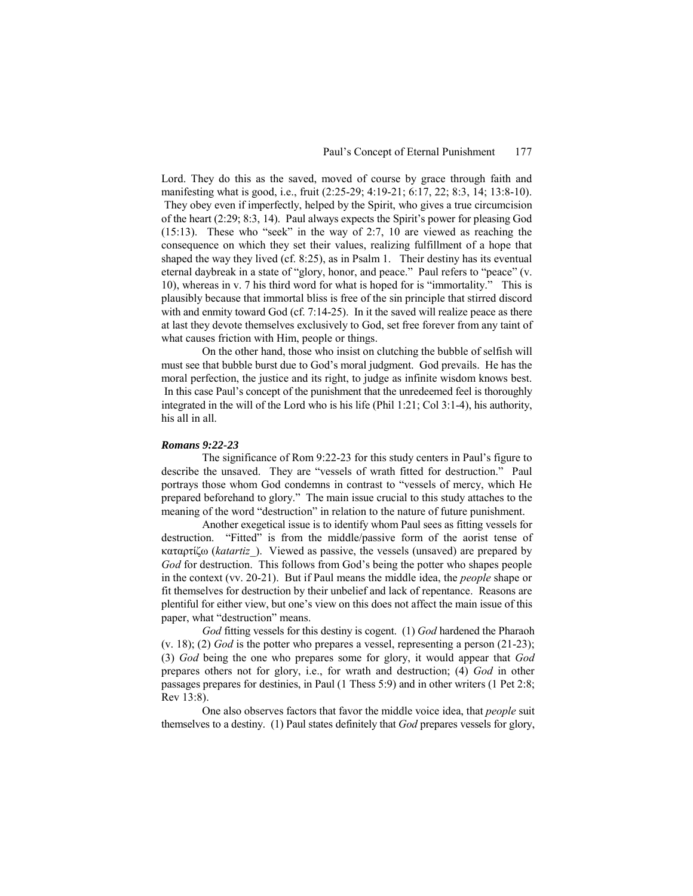Lord. They do this as the saved, moved of course by grace through faith and manifesting what is good, i.e., fruit (2:25-29; 4:19-21; 6:17, 22; 8:3, 14; 13:8-10). They obey even if imperfectly, helped by the Spirit, who gives a true circumcision of the heart  $(2:29; 8:3, 14)$ . Paul always expects the Spirit's power for pleasing God  $(15:13)$ . These who "seek" in the way of 2:7, 10 are viewed as reaching the consequence on which they set their values, realizing fulfillment of a hope that shaped the way they lived (cf. 8:25), as in Psalm 1. Their destiny has its eventual eternal daybreak in a state of "glory, honor, and peace." Paul refers to "peace" (v. 10), whereas in v. 7 his third word for what is hoped for is "immortality." This is plausibly because that immortal bliss is free of the sin principle that stirred discord with and enmity toward God (cf. 7:14-25). In it the saved will realize peace as there at last they devote themselves exclusively to God, set free forever from any taint of what causes friction with Him, people or things.

On the other hand, those who insist on clutching the bubble of selfish will must see that bubble burst due to God's moral judgment. God prevails. He has the moral perfection, the justice and its right, to judge as infinite wisdom knows best. In this case Paul's concept of the punishment that the unredeemed feel is thoroughly integrated in the will of the Lord who is his life (Phil 1:21; Col 3:1-4), his authority, his all in all.

#### *Romans 9:22-23*

The significance of Rom 9:22-23 for this study centers in Paul's figure to describe the unsaved. They are "vessels of wrath fitted for destruction." Paul portrays those whom God condemns in contrast to "vessels of mercy, which He prepared beforehand to glory.î The main issue crucial to this study attaches to the meaning of the word "destruction" in relation to the nature of future punishment.

Another exegetical issue is to identify whom Paul sees as fitting vessels for destruction. "Fitted" is from the middle/passive form of the aorist tense of καταρτίζω (*katartiz\_*). Viewed as passive, the vessels (unsaved) are prepared by God for destruction. This follows from God's being the potter who shapes people in the context (vv. 20-21). But if Paul means the middle idea, the *people* shape or fit themselves for destruction by their unbelief and lack of repentance. Reasons are plentiful for either view, but oneís view on this does not affect the main issue of this paper, what "destruction" means.

*God* fitting vessels for this destiny is cogent. (1) *God* hardened the Pharaoh (v. 18); (2) *God* is the potter who prepares a vessel, representing a person (21-23); (3) *God* being the one who prepares some for glory, it would appear that *God* prepares others not for glory, i.e., for wrath and destruction; (4) *God* in other passages prepares for destinies, in Paul (1 Thess 5:9) and in other writers (1 Pet 2:8; Rev 13:8).

One also observes factors that favor the middle voice idea, that *people* suit themselves to a destiny. (1) Paul states definitely that *God* prepares vessels for glory,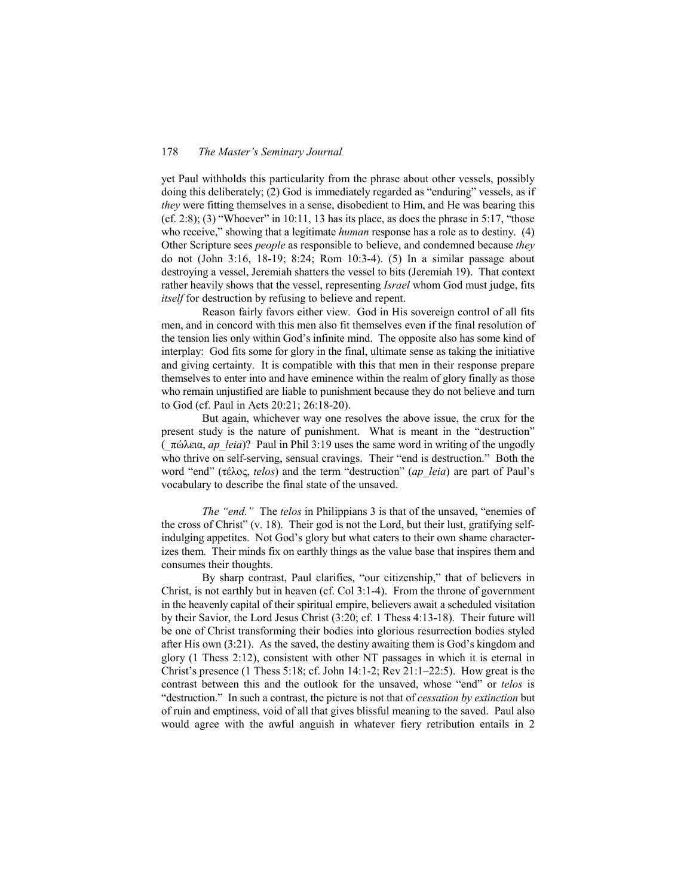yet Paul withholds this particularity from the phrase about other vessels, possibly doing this deliberately;  $(2)$  God is immediately regarded as "enduring" vessels, as if *they* were fitting themselves in a sense, disobedient to Him, and He was bearing this (cf. 2:8); (3) "Whoever" in 10:11, 13 has its place, as does the phrase in 5:17, "those who receive," showing that a legitimate *human* response has a role as to destiny. (4) Other Scripture sees *people* as responsible to believe, and condemned because *they* do not (John 3:16, 18-19; 8:24; Rom 10:3-4). (5) In a similar passage about destroying a vessel, Jeremiah shatters the vessel to bits (Jeremiah 19). That context rather heavily shows that the vessel, representing *Israel* whom God must judge, fits *itself* for destruction by refusing to believe and repent.

Reason fairly favors either view. God in His sovereign control of all fits men, and in concord with this men also fit themselves even if the final resolution of the tension lies only within God's infinite mind. The opposite also has some kind of interplay: God fits some for glory in the final, ultimate sense as taking the initiative and giving certainty. It is compatible with this that men in their response prepare themselves to enter into and have eminence within the realm of glory finally as those who remain unjustified are liable to punishment because they do not believe and turn to God (cf. Paul in Acts 20:21; 26:18-20).

But again, whichever way one resolves the above issue, the crux for the present study is the nature of punishment. What is meant in the "destruction" (\_πώλεια, *ap\_leia*)? Paul in Phil 3:19 uses the same word in writing of the ungodly who thrive on self-serving, sensual cravings. Their "end is destruction." Both the word "end" (τέλος, *telos*) and the term "destruction" (*ap leia*) are part of Paul's vocabulary to describe the final state of the unsaved.

*The "end.*" The *telos* in Philippians 3 is that of the unsaved, "enemies of the cross of Christ"  $(v. 18)$ . Their god is not the Lord, but their lust, gratifying selfindulging appetites. Not God's glory but what caters to their own shame characterizes them. Their minds fix on earthly things as the value base that inspires them and consumes their thoughts.

By sharp contrast, Paul clarifies, "our citizenship," that of believers in Christ, is not earthly but in heaven (cf. Col 3:1-4). From the throne of government in the heavenly capital of their spiritual empire, believers await a scheduled visitation by their Savior, the Lord Jesus Christ (3:20; cf. 1 Thess 4:13-18). Their future will be one of Christ transforming their bodies into glorious resurrection bodies styled after His own  $(3:21)$ . As the saved, the destiny awaiting them is God's kingdom and glory (1 Thess 2:12), consistent with other NT passages in which it is eternal in Christ's presence (1 Thess 5:18; cf. John 14:1-2; Rev  $21:1-22:5$ ). How great is the contrast between this and the outlook for the unsaved, whose "end" or *telos* is ìdestruction.î In such a contrast, the picture is not that of *cessation by extinction* but of ruin and emptiness, void of all that gives blissful meaning to the saved. Paul also would agree with the awful anguish in whatever fiery retribution entails in 2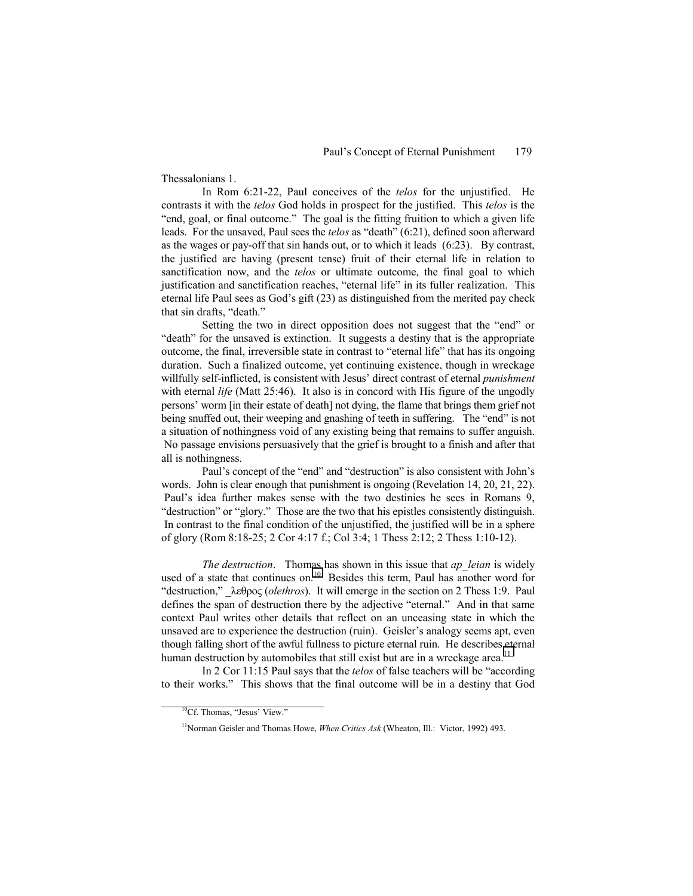Thessalonians 1.

In Rom 6:21-22, Paul conceives of the *telos* for the unjustified. He contrasts it with the *telos* God holds in prospect for the justified. This *telos* is the "end, goal, or final outcome." The goal is the fitting fruition to which a given life leads. For the unsaved, Paul sees the *telos* as "death" (6:21), defined soon afterward as the wages or pay-off that sin hands out, or to which it leads (6:23). By contrast, the justified are having (present tense) fruit of their eternal life in relation to sanctification now, and the *telos* or ultimate outcome, the final goal to which justification and sanctification reaches, "eternal life" in its fuller realization. This eternal life Paul sees as God's gift (23) as distinguished from the merited pay check that sin drafts, "death."

Setting the two in direct opposition does not suggest that the "end" or Exteed is extinction. It suggests a destiny that is the appropriate outcome, the final, irreversible state in contrast to "eternal life" that has its ongoing duration. Such a finalized outcome, yet continuing existence, though in wreckage willfully self-inflicted, is consistent with Jesus' direct contrast of eternal *punishment* with eternal *life* (Matt 25:46). It also is in concord with His figure of the ungodly persons' worm [in their estate of death] not dying, the flame that brings them grief not being snuffed out, their weeping and gnashing of teeth in suffering. The "end" is not a situation of nothingness void of any existing being that remains to suffer anguish. No passage envisions persuasively that the grief is brought to a finish and after that all is nothingness.

Paul's concept of the "end" and "destruction" is also consistent with John's words. John is clear enough that punishment is ongoing (Revelation 14, 20, 21, 22). Paul's idea further makes sense with the two destinies he sees in Romans 9, "destruction" or "glory." Those are the two that his epistles consistently distinguish. In contrast to the final condition of the unjustified, the justified will be in a sphere of glory (Rom 8:18-25; 2 Cor 4:17 f.; Col 3:4; 1 Thess 2:12; 2 Thess 1:10-12).

*The destruction*. Thomas has shown in this issue that *ap\_leian* is widely used of a state that continues on.<sup>10</sup> Besides this term, Paul has another word for <sup>"</sup>destruction," λεθρος (*olethros*). It will emerge in the section on 2 Thess 1:9. Paul defines the span of destruction there by the adjective "eternal." And in that same context Paul writes other details that reflect on an unceasing state in which the unsaved are to experience the destruction (ruin). Geisler's analogy seems apt, even though falling short of the awful fullness to picture eternal ruin. He describes eternal human destruction by automobiles that still exist but are in a wreckage area.<sup>11</sup>

In 2 Cor 11:15 Paul says that the *telos* of false teachers will be "according" to their works.î This shows that the final outcome will be in a destiny that God

 ${}^{10}$ Cf. Thomas, "Jesus' View."

<sup>&</sup>lt;sup>11</sup>Norman Geisler and Thomas Howe, *When Critics Ask* (Wheaton, Ill.: Victor, 1992) 493.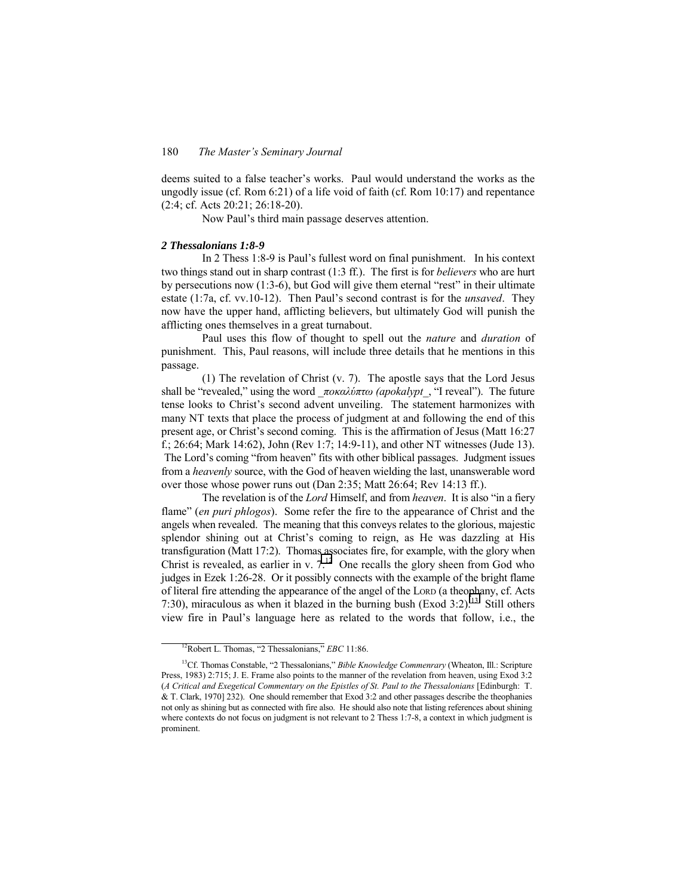deems suited to a false teacher's works. Paul would understand the works as the ungodly issue (cf. Rom 6:21) of a life void of faith (cf. Rom 10:17) and repentance (2:4; cf. Acts 20:21; 26:18-20).

Now Paul's third main passage deserves attention.

# *2 Thessalonians 1:8-9*

In 2 Thess 1:8-9 is Paul's fullest word on final punishment. In his context two things stand out in sharp contrast (1:3 ff.). The first is for *believers* who are hurt by persecutions now  $(1:3-6)$ , but God will give them eternal "rest" in their ultimate estate (1:7a, cf. vv.10-12). Then Paul's second contrast is for the *unsaved*. They now have the upper hand, afflicting believers, but ultimately God will punish the afflicting ones themselves in a great turnabout.

Paul uses this flow of thought to spell out the *nature* and *duration* of punishment. This, Paul reasons, will include three details that he mentions in this passage.

(1) The revelation of Christ (v. 7). The apostle says that the Lord Jesus shall be "revealed," using the word *ποκαλύπτω* (apokalypt, "I reveal"). The future tense looks to Christ's second advent unveiling. The statement harmonizes with many NT texts that place the process of judgment at and following the end of this present age, or Christ's second coming. This is the affirmation of Jesus (Matt 16:27) f.; 26:64; Mark 14:62), John (Rev 1:7; 14:9-11), and other NT witnesses (Jude 13). The Lord's coming "from heaven" fits with other biblical passages. Judgment issues from a *heavenly* source, with the God of heaven wielding the last, unanswerable word over those whose power runs out (Dan 2:35; Matt 26:64; Rev 14:13 ff.).

The revelation is of the *Lord* Himself, and from *heaven*. It is also "in a fiery flameî (*en puri phlogos*). Some refer the fire to the appearance of Christ and the angels when revealed. The meaning that this conveys relates to the glorious, majestic splendor shining out at Christ's coming to reign, as He was dazzling at His transfiguration (Matt 17:2). Thomas associates fire, for example, with the glory when Christ is revealed, as earlier in v.  $7<sup>12</sup>$  One recalls the glory sheen from God who judges in Ezek 1:26-28. Or it possibly connects with the example of the bright flame of literal fire attending the appearance of the angel of the LORD (a theophany, cf. Acts 7:30), miraculous as when it blazed in the burning bush (Exod 3:2).<sup>13</sup> Still others view fire in Paulís language here as related to the words that follow, i.e., the

<sup>&</sup>lt;sup>12</sup>Robert L. Thomas, "2 Thessalonians," *EBC* 11:86.

<sup>&</sup>lt;sup>13</sup>Cf. Thomas Constable, "2 Thessalonians," *Bible Knowledge Commenrary* (Wheaton, Ill.: Scripture Press, 1983) 2:715; J. E. Frame also points to the manner of the revelation from heaven, using Exod 3:2 (*A Critical and Exegetical Commentary on the Epistles of St. Paul to the Thessalonians* [Edinburgh: T. & T. Clark, 1970] 232). One should remember that Exod 3:2 and other passages describe the theophanies not only as shining but as connected with fire also. He should also note that listing references about shining where contexts do not focus on judgment is not relevant to 2 Thess 1:7-8, a context in which judgment is prominent.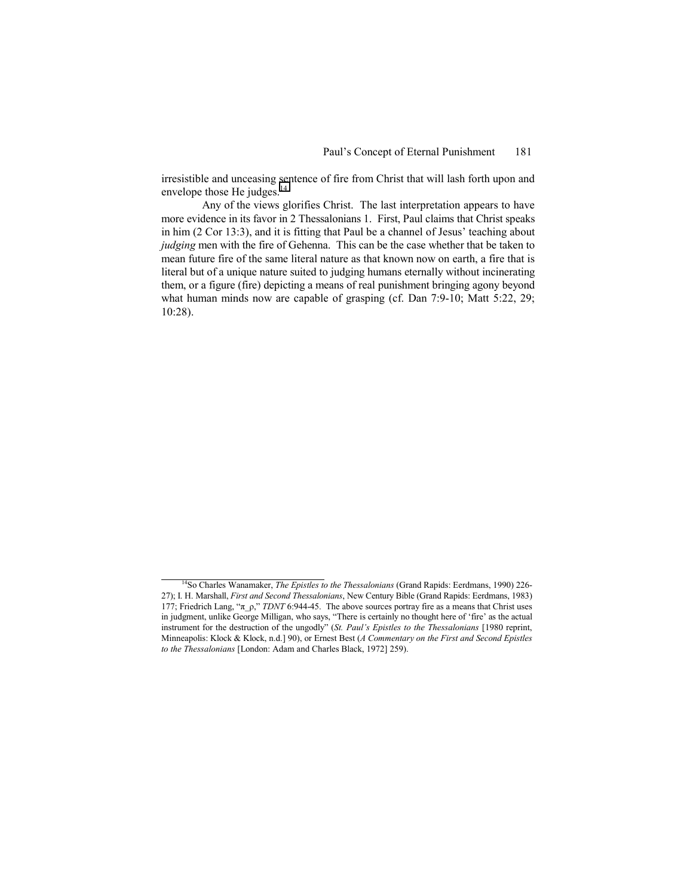irresistible and unceasing sentence of fire from Christ that will lash forth upon and envelope those He judges. $14$ 

Any of the views glorifies Christ. The last interpretation appears to have more evidence in its favor in 2 Thessalonians 1. First, Paul claims that Christ speaks in him  $(2 \text{ Cor } 13:3)$ , and it is fitting that Paul be a channel of Jesus' teaching about *judging* men with the fire of Gehenna. This can be the case whether that be taken to mean future fire of the same literal nature as that known now on earth, a fire that is literal but of a unique nature suited to judging humans eternally without incinerating them, or a figure (fire) depicting a means of real punishment bringing agony beyond what human minds now are capable of grasping (cf. Dan 7:9-10; Matt 5:22, 29; 10:28).

<sup>&</sup>lt;sup>14</sup>So Charles Wanamaker, *The Epistles to the Thessalonians* (Grand Rapids: Eerdmans, 1990) 226-27); I. H. Marshall, *First and Second Thessalonians*, New Century Bible (Grand Rapids: Eerdmans, 1983) 177; Friedrich Lang, " $\pi$  ρ," *TDNT* 6:944-45. The above sources portray fire as a means that Christ uses in judgment, unlike George Milligan, who says, "There is certainly no thought here of 'fire' as the actual instrument for the destruction of the ungodly" (*St. Paul's Epistles to the Thessalonians* [1980 reprint, Minneapolis: Klock & Klock, n.d.] 90), or Ernest Best (*A Commentary on the First and Second Epistles to the Thessalonians* [London: Adam and Charles Black, 1972] 259).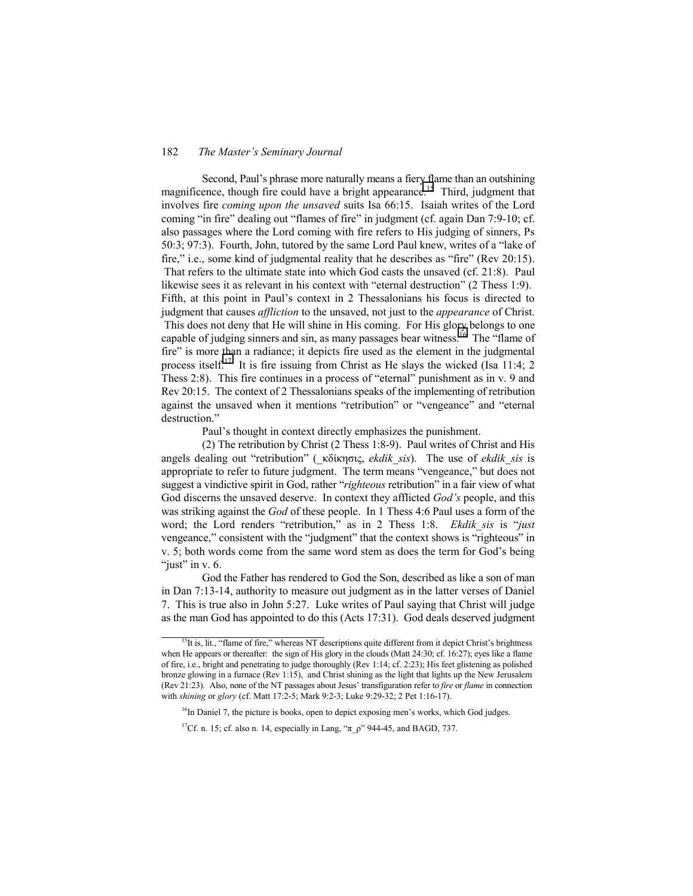Second, Paul's phrase more naturally means a fiery flame than an outshining magnificence, though fire could have a bright appearance.<sup>15</sup> Third, judgment that involves fire *coming upon the unsaved* suits Isa 66:15. Isaiah writes of the Lord coming "in fire" dealing out "flames of fire" in judgment (cf. again Dan 7:9-10; cf. also passages where the Lord coming with fire refers to His judging of sinners, Ps  $50:3$ ;  $97:3$ ). Fourth, John, tutored by the same Lord Paul knew, writes of a "lake of fire," i.e., some kind of judgmental reality that he describes as "fire" (Rev 20:15). That refers to the ultimate state into which God casts the unsaved (cf. 21:8). Paul likewise sees it as relevant in his context with "eternal destruction" (2 Thess 1:9). Fifth, at this point in Paul's context in 2 Thessalonians his focus is directed to

judgment that causes *affliction* to the unsaved, not just to the *appearance* of Christ. This does not deny that He will shine in His coming. For His glory belongs to one capable of judging sinners and sin, as many passages bear witness.<sup>16</sup> The "flame of fire" is more than a radiance; it depicts fire used as the element in the judgmental process itself.17 It is fire issuing from Christ as He slays the wicked (Isa 11:4; 2 Thess  $2:8$ ). This fire continues in a process of "eternal" punishment as in v. 9 and Rev 20:15. The context of 2 Thessalonians speaks of the implementing of retribution against the unsaved when it mentions "retribution" or "vengeance" and "eternal destruction."

Paul's thought in context directly emphasizes the punishment.

(2) The retribution by Christ (2 Thess 1:8-9). Paul writes of Christ and His angels dealing out "retribution" (κδίκησις, *ekdik sis*). The use of *ekdik sis* is appropriate to refer to future judgment. The term means "vengeance," but does not suggest a vindictive spirit in God, rather *''righteous* retribution'' in a fair view of what God discerns the unsaved deserve. In context they afflicted *God's* people, and this was striking against the *God* of these people. In 1 Thess 4:6 Paul uses a form of the word; the Lord renders "retribution," as in 2 Thess 1:8. *Ekdik sis* is "just vengeance," consistent with the "judgment" that the context shows is "righteous" in v. 5; both words come from the same word stem as does the term for God's being "just" in  $v. 6$ .

God the Father has rendered to God the Son, described as like a son of man in Dan 7:13-14, authority to measure out judgment as in the latter verses of Daniel 7. This is true also in John 5:27. Luke writes of Paul saying that Christ will judge as the man God has appointed to do this (Acts 17:31). God deals deserved judgment

<sup>&</sup>lt;sup>15</sup>It is, lit., "flame of fire," whereas NT descriptions quite different from it depict Christ's brightness when He appears or thereafter: the sign of His glory in the clouds (Matt 24:30; cf. 16:27); eyes like a flame of fire, i.e., bright and penetrating to judge thoroughly (Rev 1:14; cf. 2:23); His feet glistening as polished bronze glowing in a furnace (Rev 1:15), and Christ shining as the light that lights up the New Jerusalem (Rev 21:23). Also, none of the NT passages about Jesusí transfiguration refer to *fire* or *flame* in connection with *shining* or *glory* (cf. Matt 17:2-5; Mark 9:2-3; Luke 9:29-32; 2 Pet 1:16-17).

 $16$ In Daniel 7, the picture is books, open to depict exposing men's works, which God judges.

<sup>&</sup>lt;sup>17</sup>Cf. n. 15; cf. also n. 14, especially in Lang, " $\pi$   $\rho$ " 944-45, and BAGD, 737.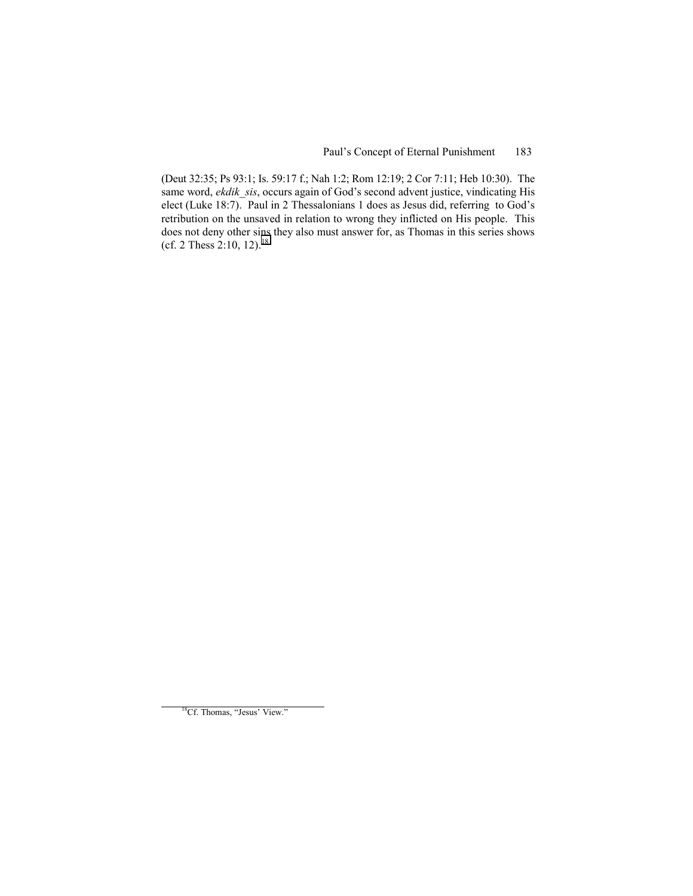(Deut 32:35; Ps 93:1; Is. 59:17 f.; Nah 1:2; Rom 12:19; 2 Cor 7:11; Heb 10:30). The same word, *ekdik sis*, occurs again of God's second advent justice, vindicating His elect (Luke 18:7). Paul in 2 Thessalonians 1 does as Jesus did, referring to God's retribution on the unsaved in relation to wrong they inflicted on His people. This does not deny other sins they also must answer for, as Thomas in this series shows (cf. 2 Thess  $2:10, 12$ ).<sup>18</sup>

<sup>&</sup>lt;sup>18</sup>Cf. Thomas, "Jesus' View."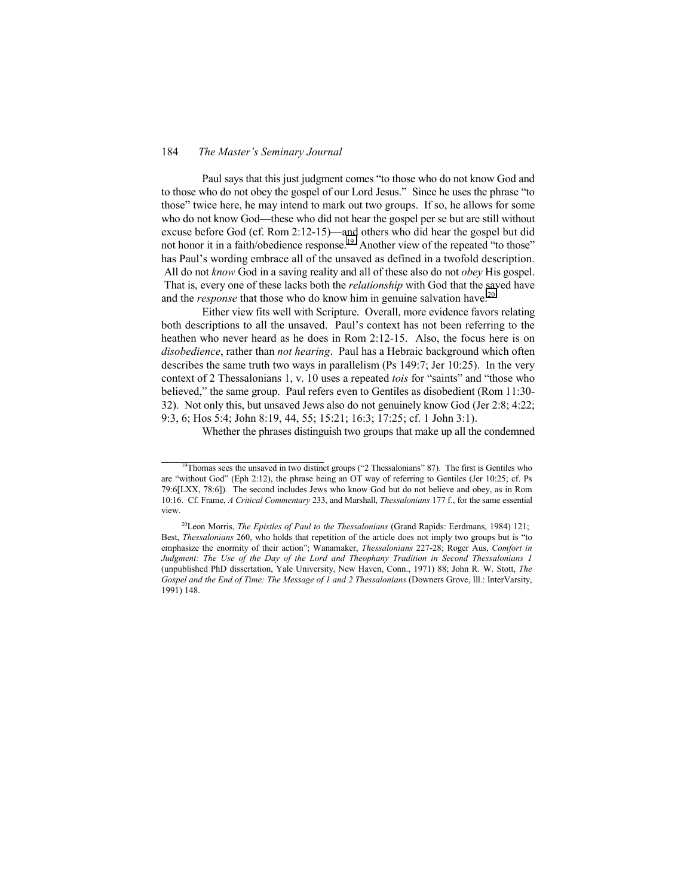Paul says that this just judgment comes "to those who do not know God and to those who do not obey the gospel of our Lord Jesus." Since he uses the phrase "to those" twice here, he may intend to mark out two groups. If so, he allows for some who do not know God—these who did not hear the gospel per se but are still without excuse before God (cf. Rom 2:12-15)—and others who did hear the gospel but did not honor it in a faith/obedience response.<sup>19</sup> Another view of the repeated "to those" has Paul's wording embrace all of the unsaved as defined in a twofold description. All do not *know* God in a saving reality and all of these also do not *obey* His gospel. That is, every one of these lacks both the *relationship* with God that the saved have and the *response* that those who do know him in genuine salvation have.<sup>20</sup>

Either view fits well with Scripture. Overall, more evidence favors relating both descriptions to all the unsaved. Paul's context has not been referring to the heathen who never heard as he does in Rom 2:12-15. Also, the focus here is on *disobedience*, rather than *not hearing*. Paul has a Hebraic background which often describes the same truth two ways in parallelism (Ps 149:7; Jer 10:25). In the very context of 2 Thessalonians 1, v. 10 uses a repeated *tois* for "saints" and "those who believed," the same group. Paul refers even to Gentiles as disobedient (Rom 11:30-32). Not only this, but unsaved Jews also do not genuinely know God (Jer 2:8; 4:22; 9:3, 6; Hos 5:4; John 8:19, 44, 55; 15:21; 16:3; 17:25; cf. 1 John 3:1).

Whether the phrases distinguish two groups that make up all the condemned

<sup>&</sup>lt;sup>19</sup>Thomas sees the unsaved in two distinct groups ( $\degree$ 2 Thessalonians<sup>3</sup> 87). The first is Gentiles who are "without God" (Eph 2:12), the phrase being an OT way of referring to Gentiles (Jer 10:25; cf. Ps 79:6[LXX, 78:6]). The second includes Jews who know God but do not believe and obey, as in Rom 10:16. Cf. Frame, *A Critical Commentary* 233, and Marshall, *Thessalonians* 177 f., for the same essential view.

<sup>20</sup>Leon Morris, *The Epistles of Paul to the Thessalonians* (Grand Rapids: Eerdmans, 1984) 121; Best, *Thessalonians* 260, who holds that repetition of the article does not imply two groups but is "to emphasize the enormity of their actionî; Wanamaker, *Thessalonians* 227-28; Roger Aus, *Comfort in Judgment: The Use of the Day of the Lord and Theophany Tradition in Second Thessalonians 1* (unpublished PhD dissertation, Yale University, New Haven, Conn., 1971) 88; John R. W. Stott, *The Gospel and the End of Time: The Message of 1 and 2 Thessalonians* (Downers Grove, Ill.: InterVarsity, 1991) 148.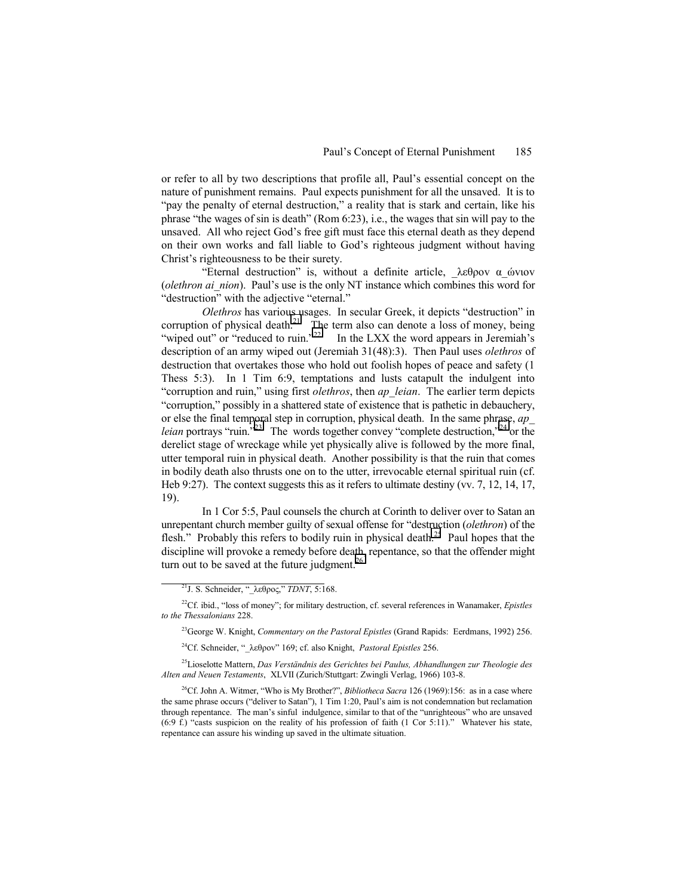or refer to all by two descriptions that profile all, Paulís essential concept on the nature of punishment remains. Paul expects punishment for all the unsaved. It is to "pay the penalty of eternal destruction," a reality that is stark and certain, like his phrase "the wages of sin is death" (Rom  $6:23$ ), i.e., the wages that sin will pay to the unsaved. All who reject God's free gift must face this eternal death as they depend on their own works and fall liable to God's righteous judgment without having Christ's righteousness to be their surety.

"Eternal destruction" is, without a definite article,  $\lambda \epsilon \theta$ ρον α ώνιον (*olethron ai\_nion*). Paul's use is the only NT instance which combines this word for "destruction" with the adjective "eternal."

*Olethros* has various usages. In secular Greek, it depicts "destruction" in corruption of physical death.<sup>21</sup> The term also can denote a loss of money, being "wiped out" or "reduced to ruin."<sup>22</sup> In the LXX the word appears in Jeremiah's In the LXX the word appears in Jeremiah's description of an army wiped out (Jeremiah 31(48):3). Then Paul uses *olethros* of destruction that overtakes those who hold out foolish hopes of peace and safety (1 Thess 5:3). In 1 Tim 6:9, temptations and lusts catapult the indulgent into ìcorruption and ruin,î using first *olethros*, then *ap\_leian*. The earlier term depicts "corruption," possibly in a shattered state of existence that is pathetic in debauchery, or else the final temporal step in corruption, physical death. In the same phrase, *ap\_ leian* portrays "ruin.<sup> $723$ </sup> The words together convey "complete destruction, $24$  or the derelict stage of wreckage while yet physically alive is followed by the more final, utter temporal ruin in physical death. Another possibility is that the ruin that comes in bodily death also thrusts one on to the utter, irrevocable eternal spiritual ruin (cf. Heb 9:27). The context suggests this as it refers to ultimate destiny (vv. 7, 12, 14, 17, 19).

In 1 Cor 5:5, Paul counsels the church at Corinth to deliver over to Satan an unrepentant church member guilty of sexual offense for "destruction (*olethron*) of the flesh." Probably this refers to bodily ruin in physical death.<sup>25</sup> Paul hopes that the discipline will provoke a remedy before death, repentance, so that the offender might turn out to be saved at the future judgment. $26$ 

23George W. Knight, *Commentary on the Pastoral Epistles* (Grand Rapids: Eerdmans, 1992) 256.

<sup>24</sup>Cf. Schneider, "λεθρον" 169; cf. also Knight, *Pastoral Epistles* 256.

<sup>25</sup>Lioselotte Mattern, *Das Verständnis des Gerichtes bei Paulus, Abhandlungen zur Theologie des Alten and Neuen Testaments*, XLVII (Zurich/Stuttgart: Zwingli Verlag, 1966) 103-8.

 $^{26}$ Cf. John A. Witmer, "Who is My Brother?", *Bibliotheca Sacra* 126 (1969):156: as in a case where the same phrase occurs ("deliver to Satan"), 1 Tim 1:20, Paul's aim is not condemnation but reclamation through repentance. The man's sinful indulgence, similar to that of the "unrighteous" who are unsaved  $(6.9 \text{ f.})$  "casts suspicion on the reality of his profession of faith (1 Cor 5:11)." Whatever his state, repentance can assure his winding up saved in the ultimate situation.

<sup>&</sup>lt;sup>21</sup>J. S. Schneider, "λεθρος," *TDNT*, 5:168.

 $^{22}$ Cf. ibid., "loss of money"; for military destruction, cf. several references in Wanamaker, *Epistles to the Thessalonians* 228.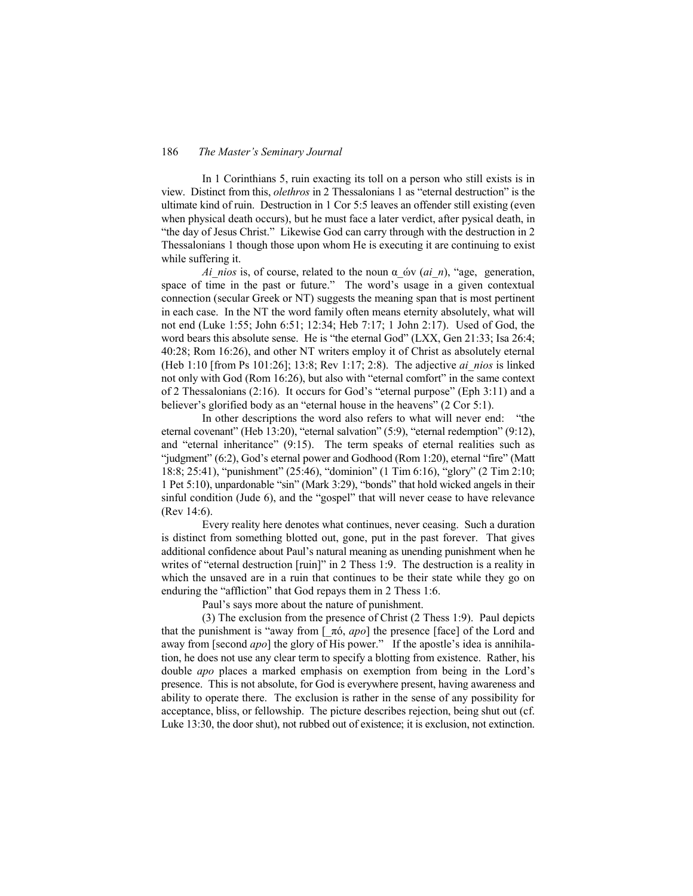In 1 Corinthians 5, ruin exacting its toll on a person who still exists is in view. Distinct from this, *olethros* in 2 Thessalonians 1 as "eternal destruction" is the ultimate kind of ruin. Destruction in 1 Cor 5:5 leaves an offender still existing (even when physical death occurs), but he must face a later verdict, after pysical death, in "the day of Jesus Christ." Likewise God can carry through with the destruction in 2 Thessalonians 1 though those upon whom He is executing it are continuing to exist while suffering it.

*Ai\_nios* is, of course, related to the noun α ών (*ai\_n*), "age, generation, space of time in the past or future." The word's usage in a given contextual connection (secular Greek or NT) suggests the meaning span that is most pertinent in each case. In the NT the word family often means eternity absolutely, what will not end (Luke 1:55; John 6:51; 12:34; Heb 7:17; 1 John 2:17). Used of God, the word bears this absolute sense. He is "the eternal God"  $(LXX, Gen\ 21:33; Isa\ 26:4; I.1)$ 40:28; Rom 16:26), and other NT writers employ it of Christ as absolutely eternal (Heb 1:10 [from Ps 101:26]; 13:8; Rev 1:17; 2:8). The adjective *ai\_nios* is linked not only with God (Rom 16:26), but also with "eternal comfort" in the same context of 2 Thessalonians  $(2.16)$ . It occurs for God's "eternal purpose" (Eph 3:11) and a believer's glorified body as an "eternal house in the heavens" (2 Cor 5:1).

In other descriptions the word also refers to what will never end: "the eternal covenant" (Heb 13:20), "eternal salvation" (5:9), "eternal redemption" (9:12), and "eternal inheritance"  $(9:15)$ . The term speaks of eternal realities such as "judgment" (6:2), God's eternal power and Godhood (Rom 1:20), eternal "fire" (Matt 18:8; 25:41), "punishment" (25:46), "dominion" (1 Tim 6:16), "glory" (2 Tim 2:10; 1 Pet  $5:10$ ), unpardonable "sin" (Mark  $3:29$ ), "bonds" that hold wicked angels in their sinful condition (Jude 6), and the "gospel" that will never cease to have relevance (Rev 14:6).

Every reality here denotes what continues, never ceasing. Such a duration is distinct from something blotted out, gone, put in the past forever. That gives additional confidence about Paul's natural meaning as unending punishment when he writes of "eternal destruction [ruin]" in 2 Thess 1:9. The destruction is a reality in which the unsaved are in a ruin that continues to be their state while they go on enduring the "affliction" that God repays them in 2 Thess 1:6.

Paul's says more about the nature of punishment.

(3) The exclusion from the presence of Christ (2 Thess 1:9). Paul depicts that the punishment is "away from  $[\pi \phi, ap \phi]$  the presence [face] of the Lord and away from [second *apo*] the glory of His power." If the apostle's idea is annihilation, he does not use any clear term to specify a blotting from existence. Rather, his double *apo* places a marked emphasis on exemption from being in the Lord's presence. This is not absolute, for God is everywhere present, having awareness and ability to operate there. The exclusion is rather in the sense of any possibility for acceptance, bliss, or fellowship. The picture describes rejection, being shut out (cf. Luke 13:30, the door shut), not rubbed out of existence; it is exclusion, not extinction.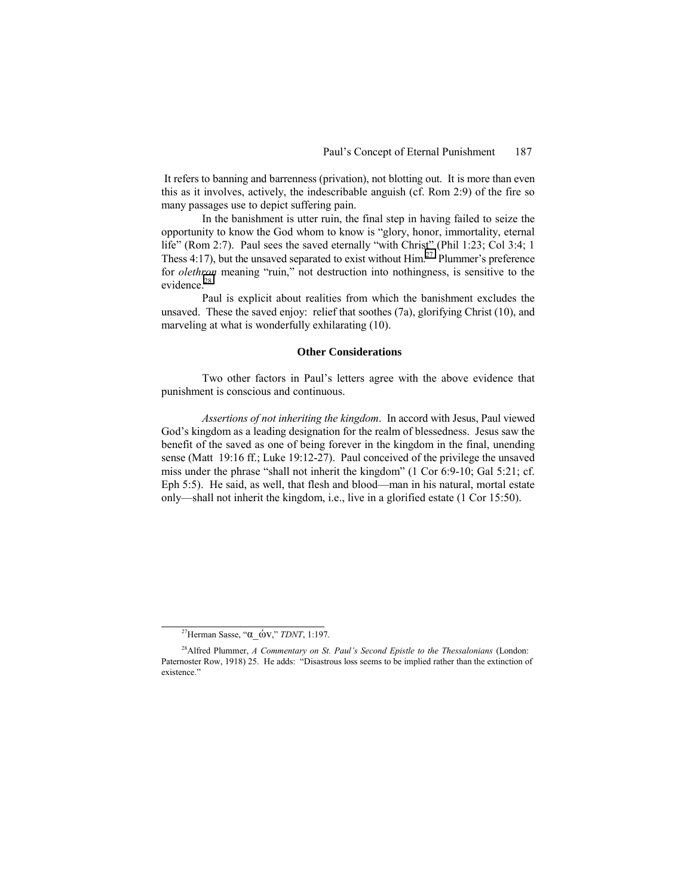It refers to banning and barrenness (privation), not blotting out. It is more than even this as it involves, actively, the indescribable anguish (cf. Rom 2:9) of the fire so many passages use to depict suffering pain.

In the banishment is utter ruin, the final step in having failed to seize the opportunity to know the God whom to know is "glory, honor, immortality, eternal life" (Rom 2:7). Paul sees the saved eternally "with Christ" (Phil 1:23; Col 3:4; 1) Thess 4:17), but the unsaved separated to exist without  $\text{Him}^{27}$  Plummer's preference for *olethron* meaning "ruin," not destruction into nothingness, is sensitive to the evidence.<sup>28</sup>

Paul is explicit about realities from which the banishment excludes the unsaved. These the saved enjoy: relief that soothes (7a), glorifying Christ (10), and marveling at what is wonderfully exhilarating (10).

#### **Other Considerations**

Two other factors in Paul's letters agree with the above evidence that punishment is conscious and continuous.

*Assertions of not inheriting the kingdom*. In accord with Jesus, Paul viewed God's kingdom as a leading designation for the realm of blessedness. Jesus saw the benefit of the saved as one of being forever in the kingdom in the final, unending sense (Matt 19:16 ff.; Luke 19:12-27). Paul conceived of the privilege the unsaved miss under the phrase "shall not inherit the kingdom" (1 Cor 6:9-10; Gal 5:21; cf. Eph  $5:5$ ). He said, as well, that flesh and blood—man in his natural, mortal estate only—shall not inherit the kingdom, i.e., live in a glorified estate (1 Cor 15:50).

<sup>&</sup>lt;sup>27</sup>Herman Sasse, "α ών," *TDNT*, 1:197.

<sup>&</sup>lt;sup>28</sup> Alfred Plummer, *A Commentary on St. Paul's Second Epistle to the Thessalonians* (London: Paternoster Row, 1918) 25. He adds: "Disastrous loss seems to be implied rather than the extinction of existence."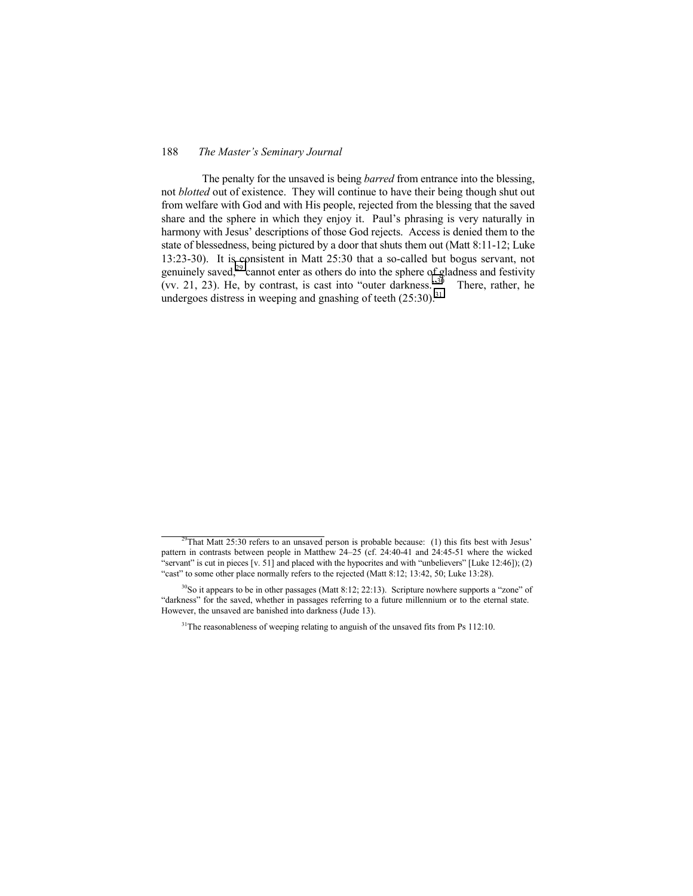The penalty for the unsaved is being *barred* from entrance into the blessing, not *blotted* out of existence. They will continue to have their being though shut out from welfare with God and with His people, rejected from the blessing that the saved share and the sphere in which they enjoy it. Paul's phrasing is very naturally in harmony with Jesus' descriptions of those God rejects. Access is denied them to the state of blessedness, being pictured by a door that shuts them out (Matt 8:11-12; Luke 13:23-30). It is consistent in Matt 25:30 that a so-called but bogus servant, not genuinely saved,<sup>29</sup> cannot enter as others do into the sphere of gladness and festivity (vv. 21, 23). He, by contrast, is cast into "outer darkness." $30$  There, rather, he undergoes distress in weeping and gnashing of teeth  $(25:30)^{31}$ 

 $29$ That Matt 25:30 refers to an unsaved person is probable because: (1) this fits best with Jesus' pattern in contrasts between people in Matthew 24–25 (cf. 24:40-41 and 24:45-51 where the wicked "servant" is cut in pieces  $[v. 51]$  and placed with the hypocrites and with "unbelievers"  $[Luke 12:46]$ ); (2) "cast" to some other place normally refers to the rejected (Matt 8:12; 13:42, 50; Luke 13:28).

 $30$ So it appears to be in other passages (Matt 8:12; 22:13). Scripture nowhere supports a "zone" of ìdarknessî for the saved, whether in passages referring to a future millennium or to the eternal state. However, the unsaved are banished into darkness (Jude 13).

<sup>&</sup>lt;sup>31</sup>The reasonableness of weeping relating to anguish of the unsaved fits from Ps 112:10.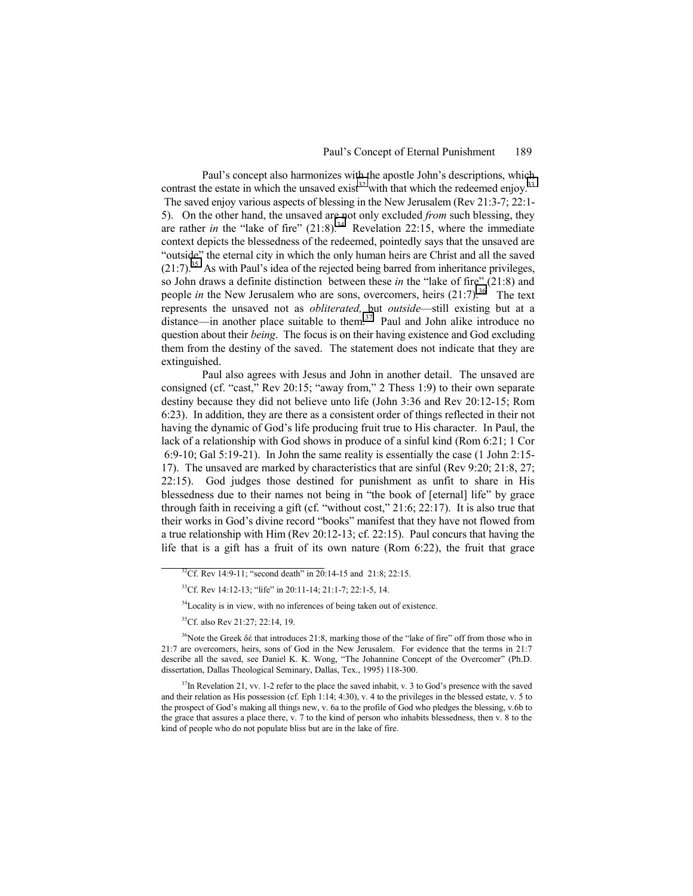Paul's concept also harmonizes with the apostle John's descriptions, which contrast the estate in which the unsaved exist<sup>32</sup> with that which the redeemed enjoy.<sup>33</sup>

 The saved enjoy various aspects of blessing in the New Jerusalem (Rev 21:3-7; 22:1- 5). On the other hand, the unsaved are not only excluded *from* such blessing, they are rather *in* the "lake of fire"  $(21.8)$ .<sup>34</sup> Revelation 22:15, where the immediate context depicts the blessedness of the redeemed, pointedly says that the unsaved are "outside" the eternal city in which the only human heirs are Christ and all the saved  $(21:7).$ <sup>35</sup> As with Paul's idea of the rejected being barred from inheritance privileges, so John draws a definite distinction between these *in* the "lake of fire" (21:8) and people *in* the New Jerusalem who are sons, overcomers, heirs  $(21:7)$ .<sup>36</sup> The text represents the unsaved not as *obliterated*, but *outside*—still existing but at a distance—in another place suitable to them.<sup>37</sup> Paul and John alike introduce no question about their *being*. The focus is on their having existence and God excluding them from the destiny of the saved. The statement does not indicate that they are extinguished.

Paul also agrees with Jesus and John in another detail. The unsaved are consigned (cf. "cast," Rev 20:15; "away from," 2 Thess 1:9) to their own separate destiny because they did not believe unto life (John 3:36 and Rev 20:12-15; Rom 6:23). In addition, they are there as a consistent order of things reflected in their not having the dynamic of God's life producing fruit true to His character. In Paul, the lack of a relationship with God shows in produce of a sinful kind (Rom 6:21; 1 Cor 6:9-10; Gal 5:19-21). In John the same reality is essentially the case (1 John 2:15- 17). The unsaved are marked by characteristics that are sinful (Rev 9:20; 21:8, 27; 22:15). God judges those destined for punishment as unfit to share in His blessedness due to their names not being in "the book of [eternal] life" by grace through faith in receiving a gift (cf. "without cost,"  $21:6$ ;  $22:17$ ). It is also true that their works in God's divine record "books" manifest that they have not flowed from a true relationship with Him (Rev 20:12-13; cf. 22:15). Paul concurs that having the life that is a gift has a fruit of its own nature (Rom 6:22), the fruit that grace

<sup>34</sup>Locality is in view, with no inferences of being taken out of existence.

35Cf. also Rev 21:27; 22:14, 19.

<sup>36</sup>Note the Greek δέ that introduces 21:8, marking those of the "lake of fire" off from those who in 21:7 are overcomers, heirs, sons of God in the New Jerusalem. For evidence that the terms in 21:7 describe all the saved, see Daniel K. K. Wong, "The Johannine Concept of the Overcomer" (Ph.D. dissertation, Dallas Theological Seminary, Dallas, Tex., 1995) 118-300.

 $37$ In Revelation 21, vv. 1-2 refer to the place the saved inhabit, v. 3 to God's presence with the saved and their relation as His possession (cf. Eph 1:14; 4:30), v. 4 to the privileges in the blessed estate, v. 5 to the prospect of God's making all things new, v. 6a to the profile of God who pledges the blessing, v.6b to the grace that assures a place there, v. 7 to the kind of person who inhabits blessedness, then v. 8 to the kind of people who do not populate bliss but are in the lake of fire.

 $32^3$ Cf. Rev 14:9-11; "second death" in 20:14-15 and 21:8; 22:15.

 $33^3$ Cf. Rev 14:12-13; "life" in 20:11-14; 21:1-7; 22:1-5, 14.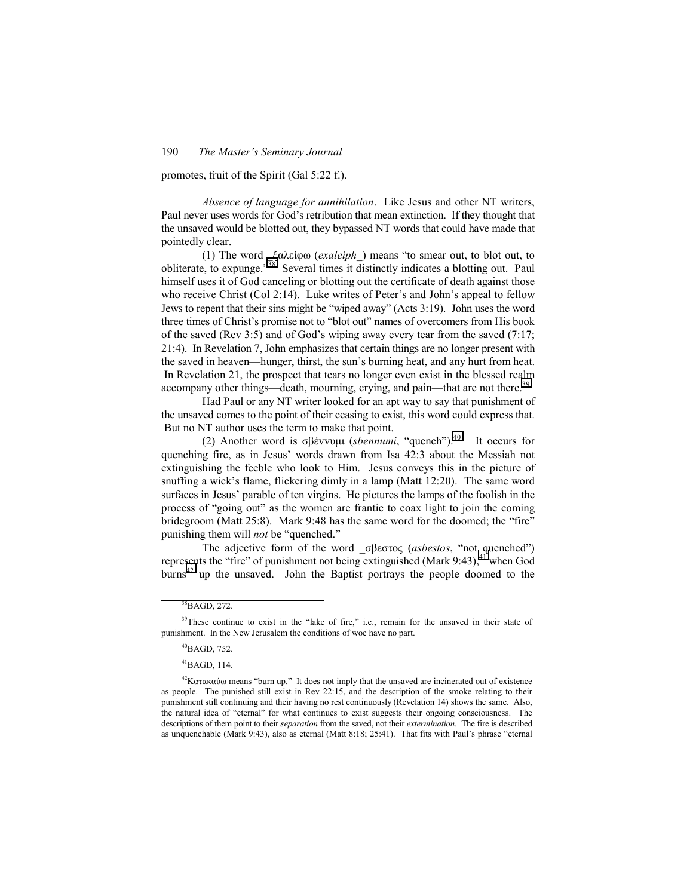promotes, fruit of the Spirit (Gal 5:22 f.).

*Absence of language for annihilation*. Like Jesus and other NT writers, Paul never uses words for God's retribution that mean extinction. If they thought that the unsaved would be blotted out, they bypassed NT words that could have made that pointedly clear.

(1) The word *ξαλείφω (exaleiph*) means "to smear out, to blot out, to obliterate, to expunge.<sup> $38^\circ$ </sup> Several times it distinctly indicates a blotting out. Paul himself uses it of God canceling or blotting out the certificate of death against those who receive Christ  $(Col 2:14)$ . Luke writes of Peter's and John's appeal to fellow Jews to repent that their sins might be "wiped away" (Acts  $3:19$ ). John uses the word three times of Christ's promise not to "blot out" names of overcomers from His book of the saved (Rev 3:5) and of God's wiping away every tear from the saved  $(7:17;$ 21:4). In Revelation 7, John emphasizes that certain things are no longer present with the saved in heaven—hunger, thirst, the sun's burning heat, and any hurt from heat. In Revelation 21, the prospect that tears no longer even exist in the blessed realm accompany other things—death, mourning, crying, and pain—that are not there.<sup>39</sup>

Had Paul or any NT writer looked for an apt way to say that punishment of the unsaved comes to the point of their ceasing to exist, this word could express that. But no NT author uses the term to make that point.

(2) Another word is σβέννυμι (*sbennumi*, "quench").<sup>40</sup> It occurs for quenching fire, as in Jesusí words drawn from Isa 42:3 about the Messiah not extinguishing the feeble who look to Him. Jesus conveys this in the picture of snuffing a wick's flame, flickering dimly in a lamp (Matt  $12:20$ ). The same word surfaces in Jesus' parable of ten virgins. He pictures the lamps of the foolish in the process of "going out" as the women are frantic to coax light to join the coming bridegroom (Matt  $25:8$ ). Mark  $9:48$  has the same word for the doomed; the "fire" punishing them will *not* be "quenched."

The adjective form of the word σβεστος (*asbestos*, "not quenched") represents the "fire" of punishment not being extinguished (Mark 9:43),<sup>41</sup> when God  $burns<sup>42</sup>$  up the unsaved. John the Baptist portrays the people doomed to the

 $^{41}$ BAGD, 114.

38BAGD, 272.

 $39$ These continue to exist in the "lake of fire," i.e., remain for the unsaved in their state of punishment. In the New Jerusalem the conditions of woe have no part.

 $^{40}$ BAGD, 752.

 $42$ Κατακαύω means "burn up." It does not imply that the unsaved are incinerated out of existence as people. The punished still exist in Rev 22:15, and the description of the smoke relating to their punishment still continuing and their having no rest continuously (Revelation 14) shows the same. Also, the natural idea of "eternal" for what continues to exist suggests their ongoing consciousness. The descriptions of them point to their *separation* from the saved, not their *extermination*. The fire is described as unquenchable (Mark 9:43), also as eternal (Matt 8:18; 25:41). That fits with Paul's phrase "eternal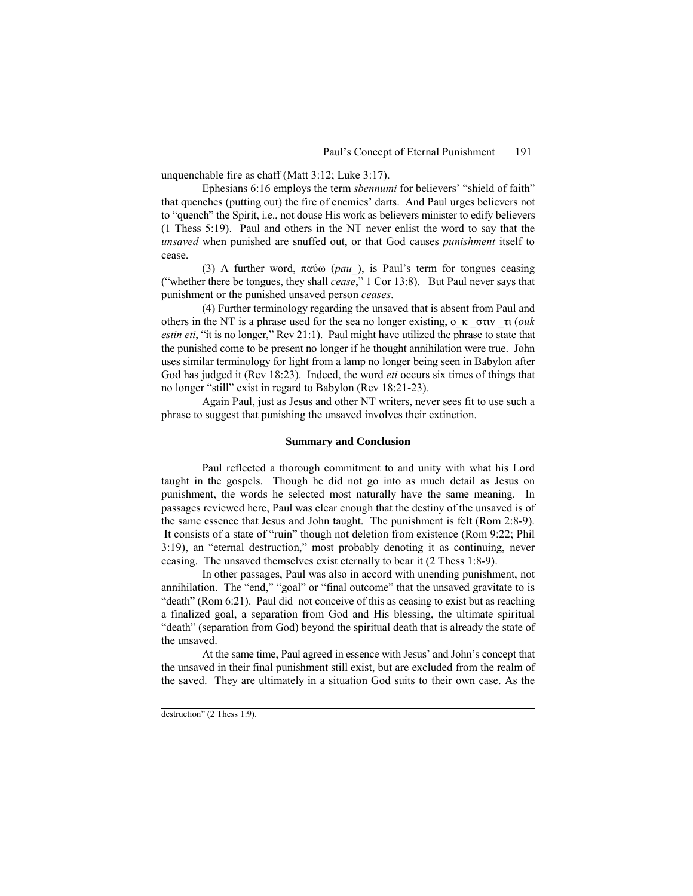unquenchable fire as chaff (Matt 3:12; Luke 3:17).

Ephesians 6:16 employs the term *sbennumi* for believers' "shield of faith" that quenches (putting out) the fire of enemies' darts. And Paul urges believers not to "quench" the Spirit, i.e., not douse His work as believers minister to edify believers (1 Thess 5:19). Paul and others in the NT never enlist the word to say that the *unsaved* when punished are snuffed out, or that God causes *punishment* itself to cease.

(3) A further word, παύω (*pau\_*), is Paulís term for tongues ceasing ("whether there be tongues, they shall *cease*," 1 Cor 13:8). But Paul never says that punishment or the punished unsaved person *ceases*.

(4) Further terminology regarding the unsaved that is absent from Paul and others in the NT is a phrase used for the sea no longer existing, o\_κ \_στιv \_τι (*ouk estin eti*, "it is no longer," Rev 21:1). Paul might have utilized the phrase to state that the punished come to be present no longer if he thought annihilation were true. John uses similar terminology for light from a lamp no longer being seen in Babylon after God has judged it (Rev 18:23). Indeed, the word *eti* occurs six times of things that no longer "still" exist in regard to Babylon (Rev 18:21-23).

Again Paul, just as Jesus and other NT writers, never sees fit to use such a phrase to suggest that punishing the unsaved involves their extinction.

# **Summary and Conclusion**

Paul reflected a thorough commitment to and unity with what his Lord taught in the gospels. Though he did not go into as much detail as Jesus on punishment, the words he selected most naturally have the same meaning. In passages reviewed here, Paul was clear enough that the destiny of the unsaved is of the same essence that Jesus and John taught. The punishment is felt (Rom 2:8-9). It consists of a state of "ruin" though not deletion from existence (Rom 9:22; Phil  $3:19$ ), an "eternal destruction," most probably denoting it as continuing, never ceasing. The unsaved themselves exist eternally to bear it (2 Thess 1:8-9).

In other passages, Paul was also in accord with unending punishment, not annihilation. The "end," "goal" or "final outcome" that the unsaved gravitate to is  $\degree$  death" (Rom 6:21). Paul did not conceive of this as ceasing to exist but as reaching a finalized goal, a separation from God and His blessing, the ultimate spiritual "death" (separation from God) beyond the spiritual death that is already the state of the unsaved.

At the same time, Paul agreed in essence with Jesus' and John's concept that the unsaved in their final punishment still exist, but are excluded from the realm of the saved. They are ultimately in a situation God suits to their own case. As the